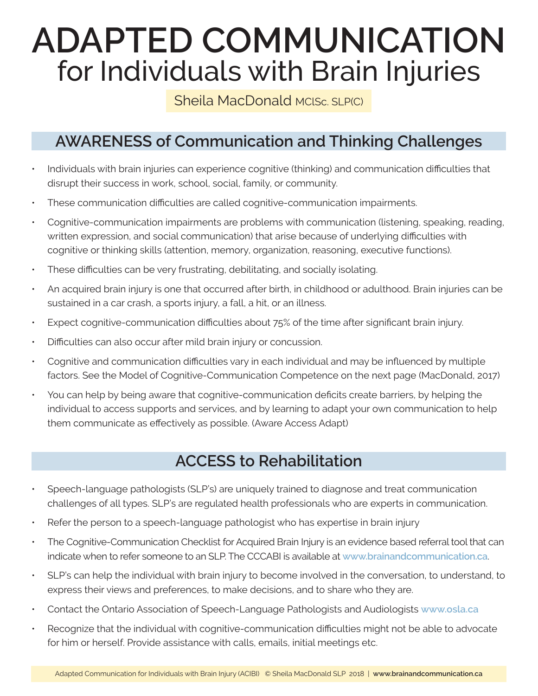# **ADAPTED COMMUNICATION** for Individuals with Brain Injuries

# Sheila MacDonald MClSc. SLP(C)

# **AWARENESS of Communication and Thinking Challenges**

- Individuals with brain injuries can experience cognitive (thinking) and communication difficulties that disrupt their success in work, school, social, family, or community.
- These communication difficulties are called cognitive-communication impairments.
- Cognitive-communication impairments are problems with communication (listening, speaking, reading, written expression, and social communication) that arise because of underlying difficulties with cognitive or thinking skills (attention, memory, organization, reasoning, executive functions).
- These difficulties can be very frustrating, debilitating, and socially isolating.
- An acquired brain injury is one that occurred after birth, in childhood or adulthood. Brain injuries can be sustained in a car crash, a sports injury, a fall, a hit, or an illness.
- Expect cognitive-communication difficulties about 75% of the time after significant brain injury.
- Difficulties can also occur after mild brain injury or concussion.
- Cognitive and communication difficulties vary in each individual and may be influenced by multiple factors. See the Model of Cognitive-Communication Competence on the next page (MacDonald, 2017)
- You can help by being aware that cognitive-communication deficits create barriers, by helping the individual to access supports and services, and by learning to adapt your own communication to help them communicate as effectively as possible. (Aware Access Adapt)

# **ACCESS to Rehabilitation**

- Speech-language pathologists (SLP's) are uniquely trained to diagnose and treat communication challenges of all types. SLP's are regulated health professionals who are experts in communication.
- Refer the person to a speech-language pathologist who has expertise in brain injury
- The Cognitive-Communication Checklist for Acquired Brain Injury is an evidence based referral tool that can indicate when to refer someone to an SLP. The CCCABI is available at **www.brainandcommunication.ca**.
- SLP's can help the individual with brain injury to become involved in the conversation, to understand, to express their views and preferences, to make decisions, and to share who they are.
- Contact the Ontario Association of Speech-Language Pathologists and Audiologists **www.osla.ca**
- Recognize that the individual with cognitive-communication difficulties might not be able to advocate for him or herself. Provide assistance with calls, emails, initial meetings etc.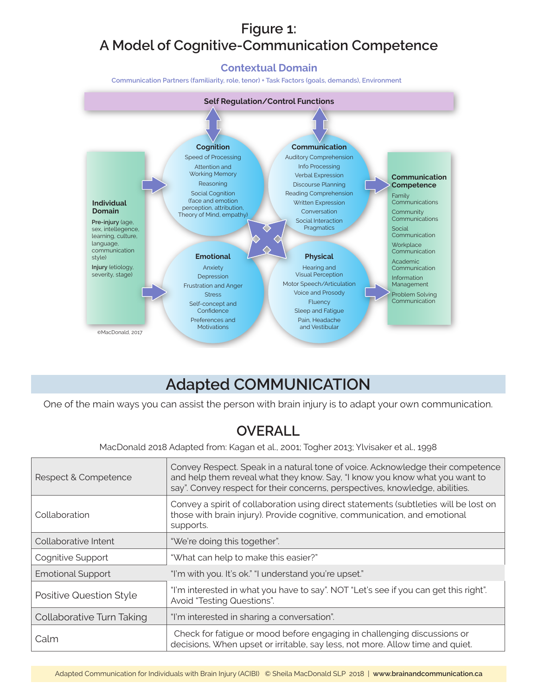# **Figure 1: A Model of Cognitive-Communication Competence**

**Contextual Domain**

**Communication Partners (familiarity, role, tenor) + Task Factors (goals, demands), Environment**



# **Adapted COMMUNICATION**

One of the main ways you can assist the person with brain injury is to adapt your own communication.

# **OVERALL**

MacDonald 2018 Adapted from: Kagan et al., 2001; Togher 2013; Ylvisaker et al., 1998

| Respect & Competence      | Convey Respect. Speak in a natural tone of voice. Acknowledge their competence<br>and help them reveal what they know. Say, "I know you know what you want to<br>say". Convey respect for their concerns, perspectives, knowledge, abilities. |
|---------------------------|-----------------------------------------------------------------------------------------------------------------------------------------------------------------------------------------------------------------------------------------------|
| Collaboration             | Convey a spirit of collaboration using direct statements (subtleties will be lost on<br>those with brain injury). Provide cognitive, communication, and emotional<br>supports.                                                                |
| Collaborative Intent      | "We're doing this together".                                                                                                                                                                                                                  |
| Cognitive Support         | "What can help to make this easier?"                                                                                                                                                                                                          |
| <b>Emotional Support</b>  | "I'm with you. It's ok." "I understand you're upset."                                                                                                                                                                                         |
| Positive Question Style   | "I'm interested in what you have to say". NOT "Let's see if you can get this right".<br>Avoid "Testing Questions".                                                                                                                            |
| Collaborative Turn Taking | "I'm interested in sharing a conversation".                                                                                                                                                                                                   |
| Calm                      | Check for fatigue or mood before engaging in challenging discussions or<br>decisions. When upset or irritable, say less, not more. Allow time and quiet.                                                                                      |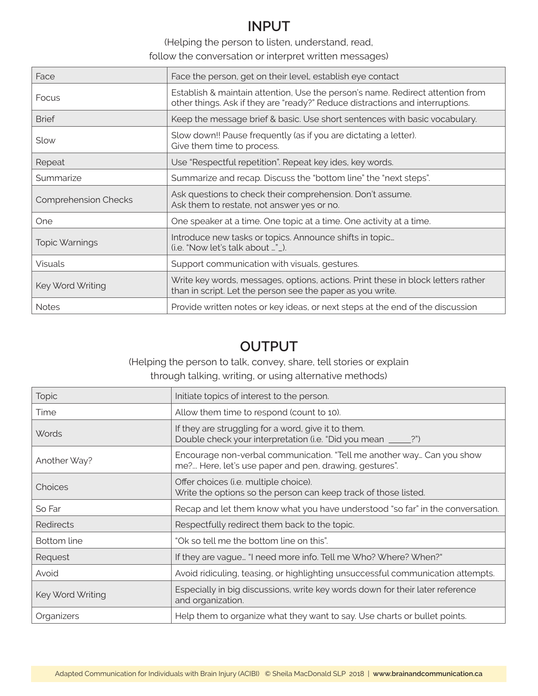### **INPUT**

(Helping the person to listen, understand, read,

follow the conversation or interpret written messages)

| Face                        | Face the person, get on their level, establish eye contact                                                                                                      |
|-----------------------------|-----------------------------------------------------------------------------------------------------------------------------------------------------------------|
| Focus                       | Establish & maintain attention, Use the person's name. Redirect attention from<br>other things. Ask if they are "ready?" Reduce distractions and interruptions. |
| <b>Brief</b>                | Keep the message brief & basic. Use short sentences with basic vocabulary.                                                                                      |
| Slow                        | Slow down!! Pause frequently (as if you are dictating a letter).<br>Give them time to process.                                                                  |
| Repeat                      | Use "Respectful repetition". Repeat key ides, key words.                                                                                                        |
| Summarize                   | Summarize and recap. Discuss the "bottom line" the "next steps".                                                                                                |
| <b>Comprehension Checks</b> | Ask questions to check their comprehension. Don't assume.<br>Ask them to restate, not answer yes or no.                                                         |
| <b>One</b>                  | One speaker at a time. One topic at a time. One activity at a time.                                                                                             |
| <b>Topic Warnings</b>       | Introduce new tasks or topics. Announce shifts in topic<br>(i.e. "Now let's talk about " _).                                                                    |
| <b>Visuals</b>              | Support communication with visuals, gestures.                                                                                                                   |
| Key Word Writing            | Write key words, messages, options, actions. Print these in block letters rather<br>than in script. Let the person see the paper as you write.                  |
| <b>Notes</b>                | Provide written notes or key ideas, or next steps at the end of the discussion                                                                                  |

## **OUTPUT**

(Helping the person to talk, convey, share, tell stories or explain

#### through talking, writing, or using alternative methods)

| <b>Topic</b>     | Initiate topics of interest to the person.                                                                                      |
|------------------|---------------------------------------------------------------------------------------------------------------------------------|
| Time             | Allow them time to respond (count to 10).                                                                                       |
| <b>Words</b>     | If they are struggling for a word, give it to them.<br>Double check your interpretation (i.e. "Did you mean ____?")             |
| Another Way?     | Encourage non-verbal communication. "Tell me another way Can you show<br>me? Here, let's use paper and pen, drawing, gestures". |
| Choices          | Offer choices (i.e. multiple choice).<br>Write the options so the person can keep track of those listed.                        |
| So Far           | Recap and let them know what you have understood "so far" in the conversation.                                                  |
| Redirects        | Respectfully redirect them back to the topic.                                                                                   |
| Bottom line      | "Ok so tell me the bottom line on this".                                                                                        |
| Request          | If they are vague "I need more info. Tell me Who? Where? When?"                                                                 |
| Avoid            | Avoid ridiculing, teasing, or highlighting unsuccessful communication attempts.                                                 |
| Key Word Writing | Especially in big discussions, write key words down for their later reference<br>and organization.                              |
| Organizers       | Help them to organize what they want to say. Use charts or bullet points.                                                       |